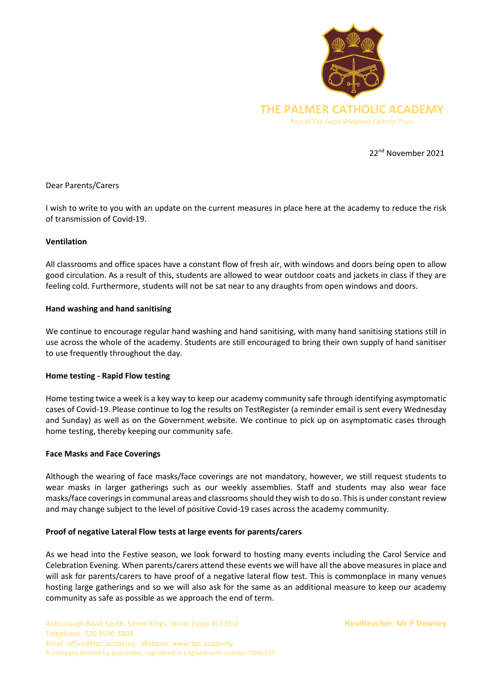

22nd November 2021

## Dear Parents/Carers

I wish to write to you with an update on the current measures in place here at the academy to reduce the risk of transmission of Covid-19.

## **Ventilation**

All classrooms and office spaces have a constant flow of fresh air, with windows and doors being open to allow good circulation. As a result of this, students are allowed to wear outdoor coats and jackets in class if they are feeling cold. Furthermore, students will not be sat near to any draughts from open windows and doors.

## **Hand washing and hand sanitising**

We continue to encourage regular hand washing and hand sanitising, with many hand sanitising stations still in use across the whole of the academy. Students are still encouraged to bring their own supply of hand sanitiser to use frequently throughout the day.

## **Home testing - Rapid Flow testing**

Home testing twice a week is a key way to keep our academy community safe through identifying asymptomatic cases of Covid-19. Please continue to log the results on TestRegister (a reminder email is sent every Wednesday and Sunday) as well as on the Government website. We continue to pick up on asymptomatic cases through home testing, thereby keeping our community safe.

## **Face Masks and Face Coverings**

Although the wearing of face masks/face coverings are not mandatory, however, we still request students to wear masks in larger gatherings such as our weekly assemblies. Staff and students may also wear face masks/face coverings in communal areas and classrooms should they wish to do so. This is under constant review and may change subject to the level of positive Covid-19 cases across the academy community.

## **Proof of negative Lateral Flow tests at large events for parents/carers**

As we head into the Festive season, we look forward to hosting many events including the Carol Service and Celebration Evening. When parents/carers attend these events we will have all the above measures in place and will ask for parents/carers to have proof of a negative lateral flow test. This is commonplace in many venues hosting large gatherings and so we will also ask for the same as an additional measure to keep our academy community as safe as possible as we approach the end of term.